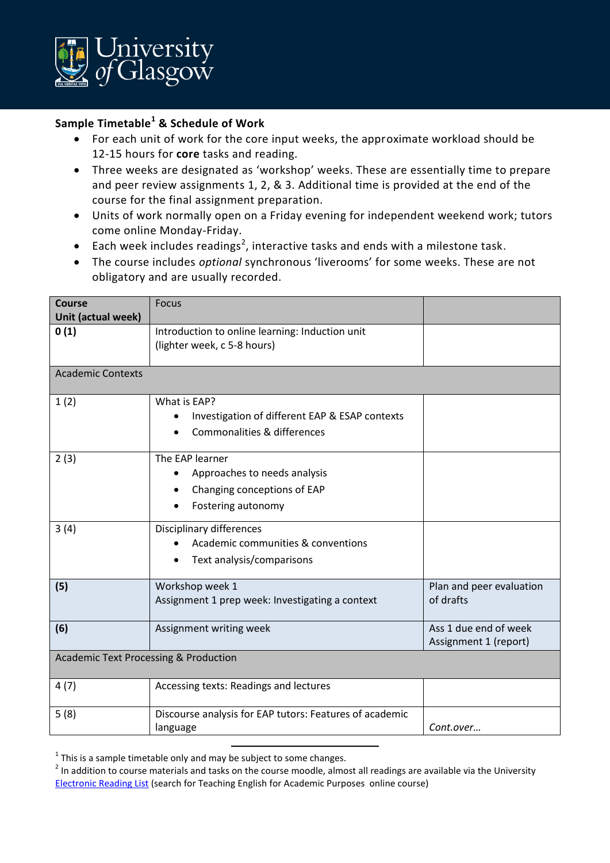

## **Sample Timetable<sup>1</sup> & Schedule of Work**

- For each unit of work for the core input weeks, the approximate workload should be 12-15 hours for **core** tasks and reading.
- Three weeks are designated as 'workshop' weeks. These are essentially time to prepare and peer review assignments 1, 2, & 3. Additional time is provided at the end of the course for the final assignment preparation.
- Units of work normally open on a Friday evening for independent weekend work; tutors come online Monday-Friday.
- Each week includes readings<sup>2</sup>, interactive tasks and ends with a milestone task.
- The course includes *optional* synchronous 'liverooms' for some weeks. These are not obligatory and are usually recorded.

| Course<br>Unit (actual week)                     | <b>Focus</b>                                                                                         |                                                |  |
|--------------------------------------------------|------------------------------------------------------------------------------------------------------|------------------------------------------------|--|
| 0(1)                                             | Introduction to online learning: Induction unit<br>(lighter week, c 5-8 hours)                       |                                                |  |
| <b>Academic Contexts</b>                         |                                                                                                      |                                                |  |
| 1(2)                                             | What is EAP?<br>Investigation of different EAP & ESAP contexts<br>Commonalities & differences        |                                                |  |
| 2(3)                                             | The EAP learner<br>Approaches to needs analysis<br>Changing conceptions of EAP<br>Fostering autonomy |                                                |  |
| 3(4)                                             | Disciplinary differences<br>Academic communities & conventions<br>Text analysis/comparisons          |                                                |  |
| (5)                                              | Workshop week 1<br>Assignment 1 prep week: Investigating a context                                   | Plan and peer evaluation<br>of drafts          |  |
| (6)                                              | Assignment writing week                                                                              | Ass 1 due end of week<br>Assignment 1 (report) |  |
| <b>Academic Text Processing &amp; Production</b> |                                                                                                      |                                                |  |
| 4(7)                                             | Accessing texts: Readings and lectures                                                               |                                                |  |
| 5(8)                                             | Discourse analysis for EAP tutors: Features of academic<br>language                                  | Cont.over                                      |  |

 $^{1}$  This is a sample timetable only and may be subject to some changes.

 $\overline{a}$ 

 $2$  In addition to course materials and tasks on the course moodle, almost all readings are available via the University [Electronic Reading List](https://glasgow.rl.talis.com/index.html) (search for Teaching English for Academic Purposes online course)